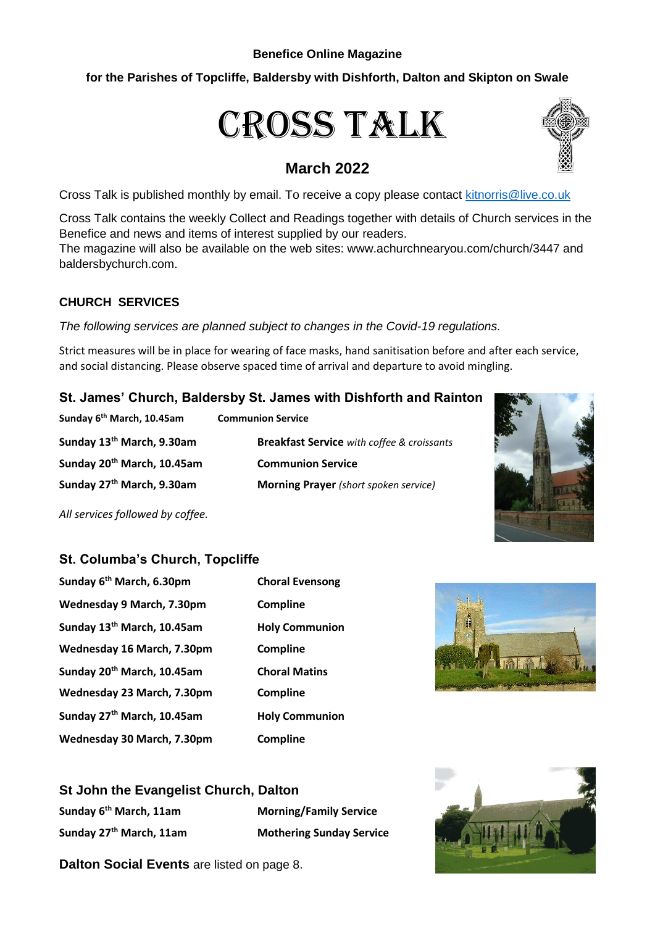#### **Benefice Online Magazine**

# **for the Parishes of Topcliffe, Baldersby with Dishforth, Dalton and Skipton on Swale**

# Cross Talk

# **March 2022**

Cross Talk is published monthly by email. To receive a copy please contact [kitnorris@live.co.uk](mailto:kitnorris@live.co.uk)

Cross Talk contains the weekly Collect and Readings together with details of Church services in the Benefice and news and items of interest supplied by our readers.

The magazine will also be available on the web sites: www.achurchnearyou.com/church/3447 and baldersbychurch.com.

# **CHURCH SERVICES**

*The following services are planned subject to changes in the Covid-19 regulations.*

Strict measures will be in place for wearing of face masks, hand sanitisation before and after each service, and social distancing. Please observe spaced time of arrival and departure to avoid mingling.

# **St. James' Church, Baldersby St. James with Dishforth and Rainton**

| Sunday 6" Iviarch, 10.45am             | Communion Service                                 |
|----------------------------------------|---------------------------------------------------|
| Sunday 13 <sup>th</sup> March, 9.30am  | <b>Breakfast Service</b> with coffee & croissants |
| Sunday 20 <sup>th</sup> March, 10.45am | <b>Communion Service</b>                          |
| Sunday 27 <sup>th</sup> March, 9.30am  | <b>Morning Prayer</b> (short spoken service)      |



*All services followed by coffee.*

# **St. Columba's Church, Topcliffe**

**Sunday 6th March, 10.45am Communion Service**

| Sunday 6 <sup>th</sup> March, 6.30pm   | <b>Choral Evensong</b> |
|----------------------------------------|------------------------|
| Wednesday 9 March, 7.30pm              | <b>Compline</b>        |
| Sunday 13th March, 10.45am             | <b>Holy Communion</b>  |
| Wednesday 16 March, 7.30pm             | <b>Compline</b>        |
| Sunday 20 <sup>th</sup> March, 10.45am | <b>Choral Matins</b>   |
| Wednesday 23 March, 7.30pm             | <b>Compline</b>        |
| Sunday 27 <sup>th</sup> March, 10.45am | <b>Holy Communion</b>  |
| Wednesday 30 March, 7.30pm             | Compline               |



## **St John the Evangelist Church, Dalton**

**Sunday 6th March, 11am Morning/Family Service**

**Sunday 27th March, 11am Mothering Sunday Service**





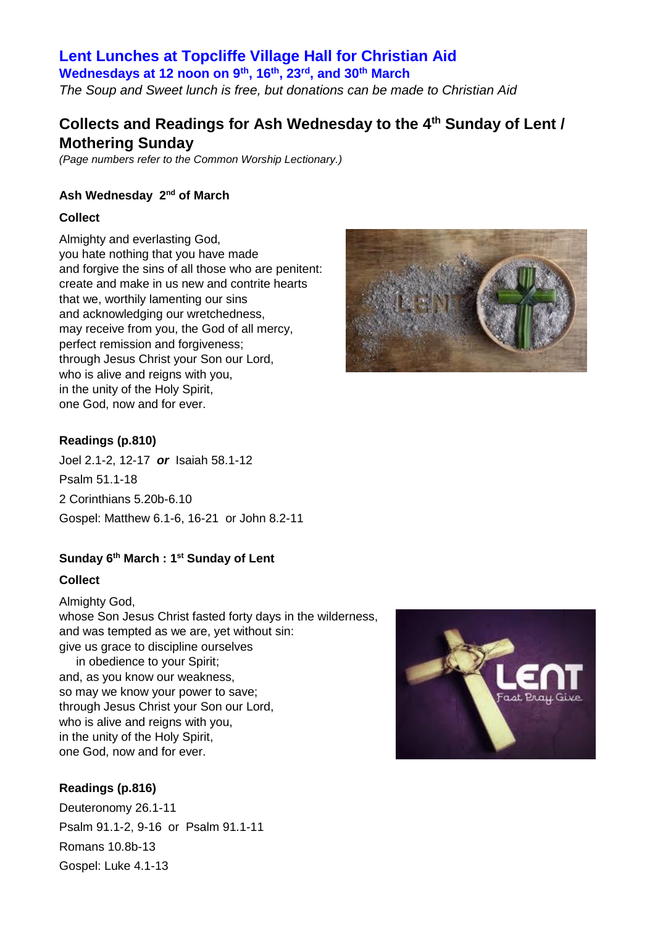# **Lent Lunches at Topcliffe Village Hall for Christian Aid**

**Wednesdays at 12 noon on 9th, 16th, 23rd, and 30th March** *The Soup and Sweet lunch is free, but donations can be made to Christian Aid*

# **Collects and Readings for Ash Wednesday to the 4th Sunday of Lent / Mothering Sunday**

*(Page numbers refer to the Common Worship Lectionary.)*

#### **Ash Wednesday 2nd of March**

#### **Collect**

Almighty and everlasting God, you hate nothing that you have made and forgive the sins of all those who are penitent: create and make in us new and contrite hearts that we, worthily lamenting our sins and acknowledging our wretchedness, may receive from you, the God of all mercy, perfect remission and forgiveness: through Jesus Christ your Son our Lord, who is alive and reigns with you, in the unity of the Holy Spirit, one God, now and for ever.



#### **Readings (p.810)**

Joel 2.1-2, 12-17 *or* Isaiah 58.1-12 Psalm 51.1-18 2 Corinthians 5.20b-6.10 Gospel: Matthew 6.1-6, 16-21 or John 8.2-11

#### **Sunday 6th March : 1st Sunday of Lent**

#### **Collect**

Almighty God, whose Son Jesus Christ fasted forty days in the wilderness, and was tempted as we are, yet without sin: give us grace to discipline ourselves in obedience to your Spirit; and, as you know our weakness, so may we know your power to save; through Jesus Christ your Son our Lord, who is alive and reigns with you.

in the unity of the Holy Spirit, one God, now and for ever.

#### **Readings (p.816)**

Deuteronomy 26.1-11 Psalm 91.1-2, 9-16 or Psalm 91.1-11 Romans 10.8b-13 Gospel: Luke 4.1-13

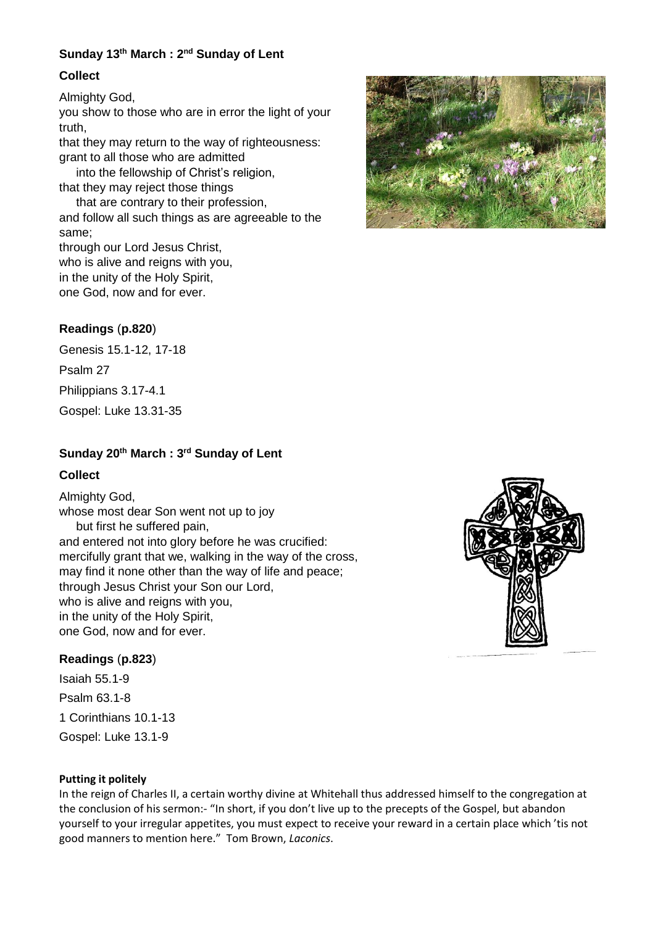## **Sunday 13th March : 2nd Sunday of Lent**

#### **Collect**

Almighty God,

you show to those who are in error the light of your truth,

that they may return to the way of righteousness: grant to all those who are admitted

 into the fellowship of Christ's religion, that they may reject those things

 that are contrary to their profession, and follow all such things as are agreeable to the same;

through our Lord Jesus Christ, who is alive and reigns with you, in the unity of the Holy Spirit, one God, now and for ever.

#### **Readings** (**p.820**)

Genesis 15.1-12, 17-18

Psalm 27

Philippians 3.17-4.1

Gospel: Luke 13.31-35

# **Sunday 20th March : 3rd Sunday of Lent**

#### **Collect**

Almighty God, whose most dear Son went not up to joy but first he suffered pain, and entered not into glory before he was crucified: mercifully grant that we, walking in the way of the cross, may find it none other than the way of life and peace; through Jesus Christ your Son our Lord, who is alive and reigns with you, in the unity of the Holy Spirit, one God, now and for ever.

#### **Readings** (**p.823**)

Isaiah 55.1-9 Psalm 63.1-8 1 Corinthians 10.1-13 Gospel: Luke 13.1-9

#### **Putting it politely**

In the reign of Charles II, a certain worthy divine at Whitehall thus addressed himself to the congregation at the conclusion of his sermon:- "In short, if you don't live up to the precepts of the Gospel, but abandon yourself to your irregular appetites, you must expect to receive your reward in a certain place which 'tis not good manners to mention here." Tom Brown, *Laconics*.



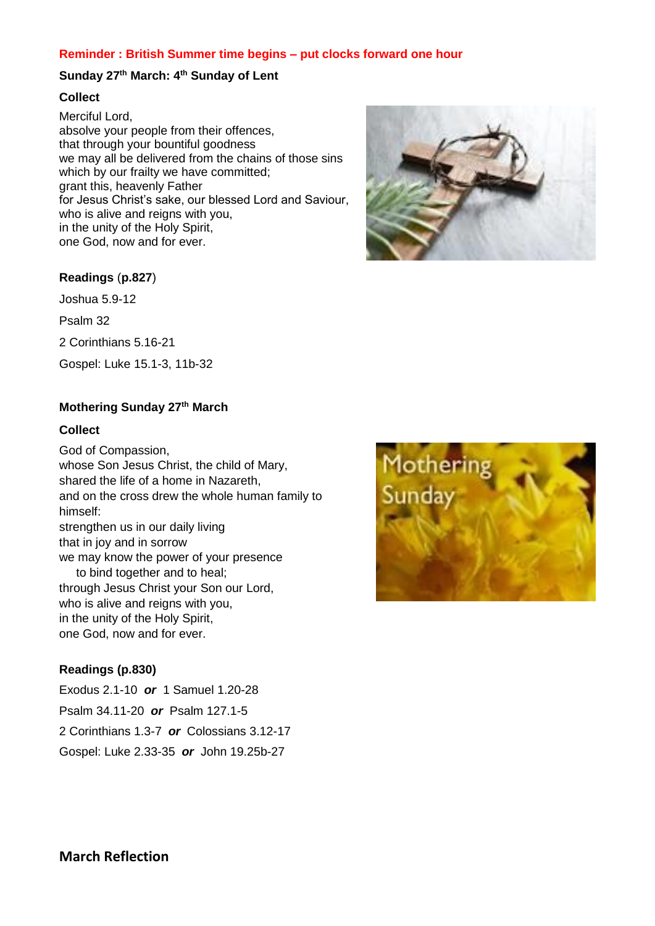#### **Reminder : British Summer time begins – put clocks forward one hour**

#### **Sunday 27th March: 4th Sunday of Lent**

#### **Collect**

Merciful Lord, absolve your people from their offences, that through your bountiful goodness we may all be delivered from the chains of those sins which by our frailty we have committed; grant this, heavenly Father for Jesus Christ's sake, our blessed Lord and Saviour, who is alive and reigns with you, in the unity of the Holy Spirit, one God, now and for ever.



## **Readings** (**p.827**)

Joshua 5.9-12

Psalm 32

2 Corinthians 5.16-21

Gospel: Luke 15.1-3, 11b-32

#### **Mothering Sunday 27th March**

#### **Collect**

God of Compassion, whose Son Jesus Christ, the child of Mary, shared the life of a home in Nazareth, and on the cross drew the whole human family to himself: strengthen us in our daily living that in joy and in sorrow we may know the power of your presence to bind together and to heal; through Jesus Christ your Son our Lord, who is alive and reigns with you, in the unity of the Holy Spirit, one God, now and for ever.

## **Readings (p.830)**

Exodus 2.1-10 *or* 1 Samuel 1.20-28 Psalm 34.11-20 *or* Psalm 127.1-5 2 Corinthians 1.3-7 *or* Colossians 3.12-17 Gospel: Luke 2.33-35 *or* John 19.25b-27

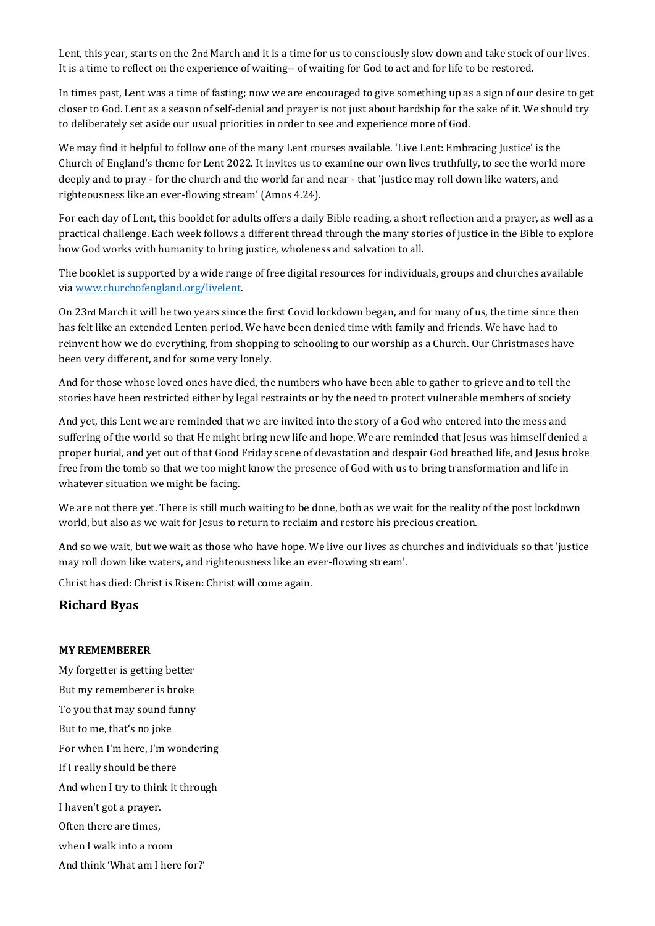Lent, this year, starts on the 2nd March and it is a time for us to consciously slow down and take stock of our lives. It is a time to reflect on the experience of waiting-- of waiting for God to act and for life to be restored.

In times past, Lent was a time of fasting; now we are encouraged to give something up as a sign of our desire to get closer to God. Lent as a season of self-denial and prayer is not just about hardship for the sake of it. We should try to deliberately set aside our usual priorities in order to see and experience more of God.

We may find it helpful to follow one of the many Lent courses available. 'Live Lent: Embracing Justice' is the Church of England's theme for Lent 2022. It invites us to examine our own lives truthfully, to see the world more deeply and to pray - for the church and the world far and near - that 'justice may roll down like waters, and righteousness like an ever-flowing stream' (Amos 4.24).

For each day of Lent, this booklet for adults offers a daily Bible reading, a short reflection and a prayer, as well as a practical challenge. Each week follows a different thread through the many stories of justice in the Bible to explore how God works with humanity to bring justice, wholeness and salvation to all.

The booklet is supported by a wide range of free digital resources for individuals, groups and churches available via [www.churchofengland.org/livelent.](http://www.churchofengland.org/livelent)

On 23rd March it will be two years since the first Covid lockdown began, and for many of us, the time since then has felt like an extended Lenten period. We have been denied time with family and friends. We have had to reinvent how we do everything, from shopping to schooling to our worship as a Church. Our Christmases have been very different, and for some very lonely.

And for those whose loved ones have died, the numbers who have been able to gather to grieve and to tell the stories have been restricted either by legal restraints or by the need to protect vulnerable members of society

And yet, this Lent we are reminded that we are invited into the story of a God who entered into the mess and suffering of the world so that He might bring new life and hope. We are reminded that Jesus was himself denied a proper burial, and yet out of that Good Friday scene of devastation and despair God breathed life, and Jesus broke free from the tomb so that we too might know the presence of God with us to bring transformation and life in whatever situation we might be facing.

We are not there yet. There is still much waiting to be done, both as we wait for the reality of the post lockdown world, but also as we wait for Jesus to return to reclaim and restore his precious creation.

And so we wait, but we wait as those who have hope. We live our lives as churches and individuals so that 'justice may roll down like waters, and righteousness like an ever-flowing stream'.

Christ has died: Christ is Risen: Christ will come again.

#### **Richard Byas**

#### **MY REMEMBERER**

My forgetter is getting better But my rememberer is broke To you that may sound funny But to me, that's no joke For when I'm here, I'm wondering If I really should be there And when I try to think it through I haven't got a prayer. Often there are times, when I walk into a room And think 'What am I here for?'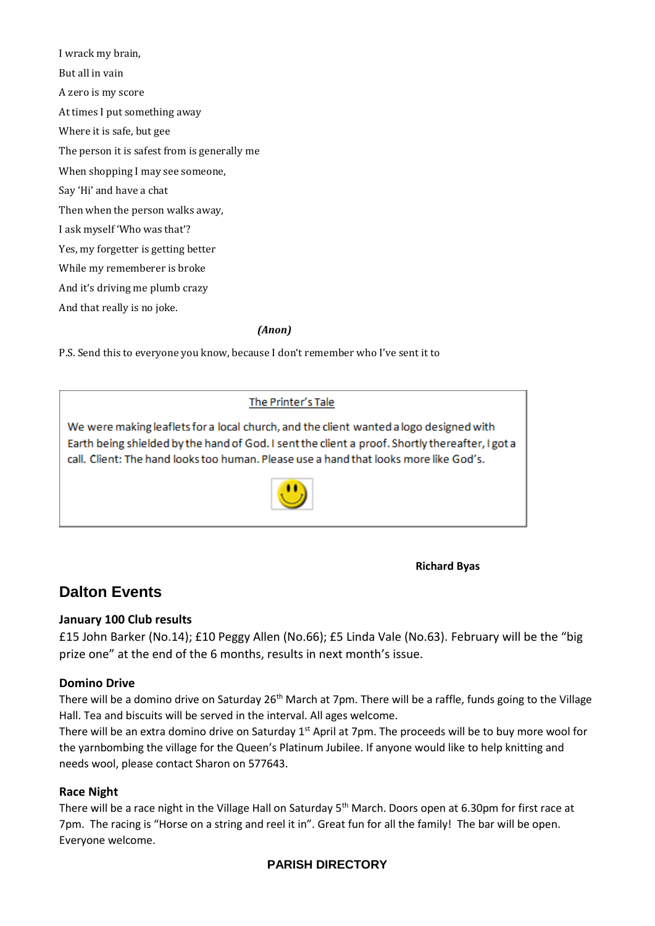I wrack my brain, But all in vain A zero is my score At times I put something away Where it is safe, but gee The person it is safest from is generally me When shopping I may see someone, Say 'Hi' and have a chat Then when the person walks away, I ask myself 'Who was that'? Yes, my forgetter is getting better While my rememberer is broke And it's driving me plumb crazy And that really is no joke.

*(Anon)*

P.S. Send this to everyone you know, because I don't remember who I've sent it to

The Printer's Tale

We were making leaflets for a local church, and the client wanted a logo designed with Earth being shielded by the hand of God. I sent the client a proof. Shortly thereafter, I got a call. Client: The hand looks too human. Please use a hand that looks more like God's.



**Richard Byas**

# **Dalton Events**

## **January 100 Club results**

£15 John Barker (No.14); £10 Peggy Allen (No.66); £5 Linda Vale (No.63). February will be the "big prize one" at the end of the 6 months, results in next month's issue.

#### **Domino Drive**

There will be a domino drive on Saturday 26<sup>th</sup> March at 7pm. There will be a raffle, funds going to the Village Hall. Tea and biscuits will be served in the interval. All ages welcome.

There will be an extra domino drive on Saturday  $1<sup>st</sup>$  April at 7pm. The proceeds will be to buy more wool for the yarnbombing the village for the Queen's Platinum Jubilee. If anyone would like to help knitting and needs wool, please contact Sharon on 577643.

#### **Race Night**

There will be a race night in the Village Hall on Saturday 5<sup>th</sup> March. Doors open at 6.30pm for first race at 7pm. The racing is "Horse on a string and reel it in". Great fun for all the family! The bar will be open. Everyone welcome.

# **PARISH DIRECTORY**